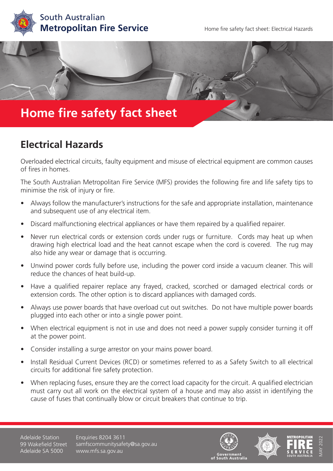



## **Electrical Hazards**

Overloaded electrical circuits, faulty equipment and misuse of electrical equipment are common causes of fires in homes.

The South Australian Metropolitan Fire Service (MFS) provides the following fire and life safety tips to minimise the risk of injury or fire.

- Always follow the manufacturer's instructions for the safe and appropriate installation, maintenance and subsequent use of any electrical item.
- Discard malfunctioning electrical appliances or have them repaired by a qualified repairer.
- Never run electrical cords or extension cords under rugs or furniture. Cords may heat up when drawing high electrical load and the heat cannot escape when the cord is covered. The rug may also hide any wear or damage that is occurring.
- Unwind power cords fully before use, including the power cord inside a vacuum cleaner. This will reduce the chances of heat build-up.
- Have a qualified repairer replace any frayed, cracked, scorched or damaged electrical cords or extension cords. The other option is to discard appliances with damaged cords.
- Always use power boards that have overload cut out switches. Do not have multiple power boards plugged into each other or into a single power point.
- When electrical equipment is not in use and does not need a power supply consider turning it off at the power point.
- Consider installing a surge arrestor on your mains power board.
- Install Residual Current Devices (RCD) or sometimes referred to as a Safety Switch to all electrical circuits for additional fire safety protection.
- When replacing fuses, ensure they are the correct load capacity for the circuit. A qualified electrician must carry out all work on the electrical system of a house and may also assist in identifying the cause of fuses that continually blow or circuit breakers that continue to trip.

Adelaide Station 99 Wakefield Street Adelaide SA 5000

Enquiries 8204 3611 samfscommunitysafety@sa.gov.au www.mfs.sa.gov.au







MAY 2022